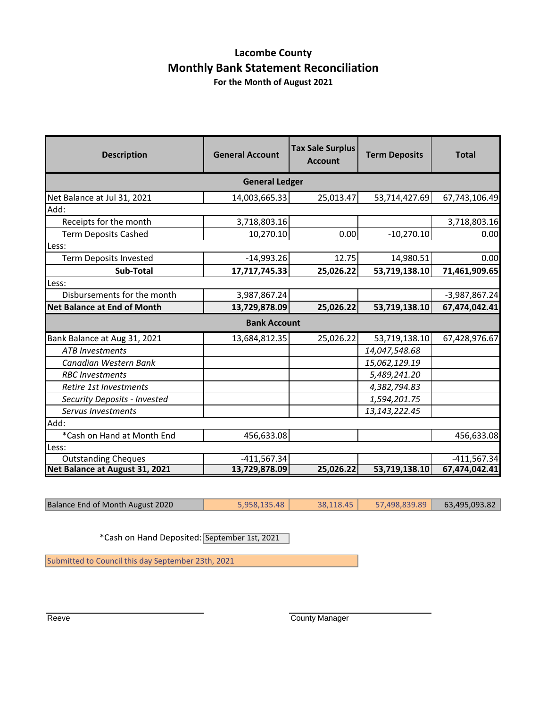#### **Lacombe County Monthly Bank Statement Reconciliation For the Month of August 2021**

| <b>Description</b>                 | <b>General Account</b> | <b>Tax Sale Surplus</b><br><b>Account</b> | <b>Term Deposits</b> | <b>Total</b>    |
|------------------------------------|------------------------|-------------------------------------------|----------------------|-----------------|
|                                    | <b>General Ledger</b>  |                                           |                      |                 |
| Net Balance at Jul 31, 2021        | 14,003,665.33          | 25,013.47                                 | 53,714,427.69        | 67,743,106.49   |
| Add:                               |                        |                                           |                      |                 |
| Receipts for the month             | 3,718,803.16           |                                           |                      | 3,718,803.16    |
| <b>Term Deposits Cashed</b>        | 10,270.10              | 0.00                                      | $-10,270.10$         | 0.00            |
| Less:                              |                        |                                           |                      |                 |
| <b>Term Deposits Invested</b>      | $-14,993.26$           | 12.75                                     | 14,980.51            | 0.00            |
| Sub-Total                          | 17,717,745.33          | 25,026.22                                 | 53,719,138.10        | 71,461,909.65   |
| Less:                              |                        |                                           |                      |                 |
| Disbursements for the month        | 3,987,867.24           |                                           |                      | $-3,987,867.24$ |
| <b>Net Balance at End of Month</b> | 13,729,878.09          | 25,026.22                                 | 53,719,138.10        | 67,474,042.41   |
| <b>Bank Account</b>                |                        |                                           |                      |                 |
| Bank Balance at Aug 31, 2021       | 13,684,812.35          | 25,026.22                                 | 53,719,138.10        | 67,428,976.67   |
| <b>ATB Investments</b>             |                        |                                           | 14,047,548.68        |                 |
| Canadian Western Bank              |                        |                                           | 15,062,129.19        |                 |
| <b>RBC</b> Investments             |                        |                                           | 5,489,241.20         |                 |
| Retire 1st Investments             |                        |                                           | 4,382,794.83         |                 |
| Security Deposits - Invested       |                        |                                           | 1,594,201.75         |                 |
| Servus Investments                 |                        |                                           | 13,143,222.45        |                 |
| Add:                               |                        |                                           |                      |                 |
| *Cash on Hand at Month End         | 456,633.08             |                                           |                      | 456,633.08      |
| Less:                              |                        |                                           |                      |                 |
| <b>Outstanding Cheques</b>         | $-411,567.34$          |                                           |                      | $-411,567.34$   |
| Net Balance at August 31, 2021     | 13,729,878.09          | 25,026.22                                 | 53,719,138.10        | 67,474,042.41   |

| Balance End of Month August 2020 | 5,958,135.48 | 38,118.45 | 57,498,839.89 | 63,495,093.82 |
|----------------------------------|--------------|-----------|---------------|---------------|
|                                  |              |           |               |               |

\*Cash on Hand Deposited: September 1st, 2021

Submitted to Council this day September 23th, 2021

Reeve **County Manager** County Manager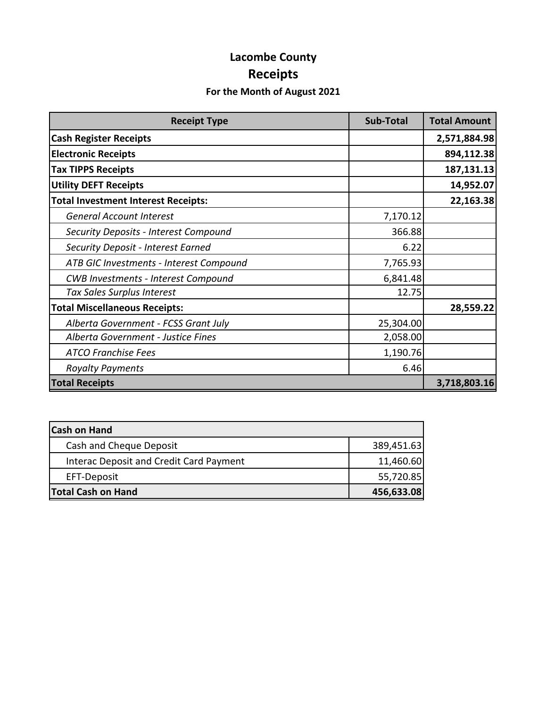# **Lacombe County Receipts**

### **For the Month of August 2021**

| <b>Receipt Type</b>                        | <b>Sub-Total</b> | <b>Total Amount</b> |
|--------------------------------------------|------------------|---------------------|
| <b>Cash Register Receipts</b>              |                  | 2,571,884.98        |
| <b>Electronic Receipts</b>                 |                  | 894,112.38          |
| <b>Tax TIPPS Receipts</b>                  |                  | 187,131.13          |
| <b>Utility DEFT Receipts</b>               |                  | 14,952.07           |
| <b>Total Investment Interest Receipts:</b> |                  | 22,163.38           |
| <b>General Account Interest</b>            | 7,170.12         |                     |
| Security Deposits - Interest Compound      | 366.88           |                     |
| Security Deposit - Interest Earned         | 6.22             |                     |
| ATB GIC Investments - Interest Compound    | 7,765.93         |                     |
| <b>CWB Investments - Interest Compound</b> | 6,841.48         |                     |
| Tax Sales Surplus Interest                 | 12.75            |                     |
| <b>Total Miscellaneous Receipts:</b>       |                  | 28,559.22           |
| Alberta Government - FCSS Grant July       | 25,304.00        |                     |
| Alberta Government - Justice Fines         | 2,058.00         |                     |
| <b>ATCO Franchise Fees</b>                 | 1,190.76         |                     |
| <b>Royalty Payments</b>                    | 6.46             |                     |
| <b>Total Receipts</b>                      | 3,718,803.16     |                     |

| <b>Cash on Hand</b>                     |            |
|-----------------------------------------|------------|
| Cash and Cheque Deposit                 | 389,451.63 |
| Interac Deposit and Credit Card Payment | 11,460.60  |
| EFT-Deposit                             | 55,720.85  |
| <b>Total Cash on Hand</b>               | 456,633.08 |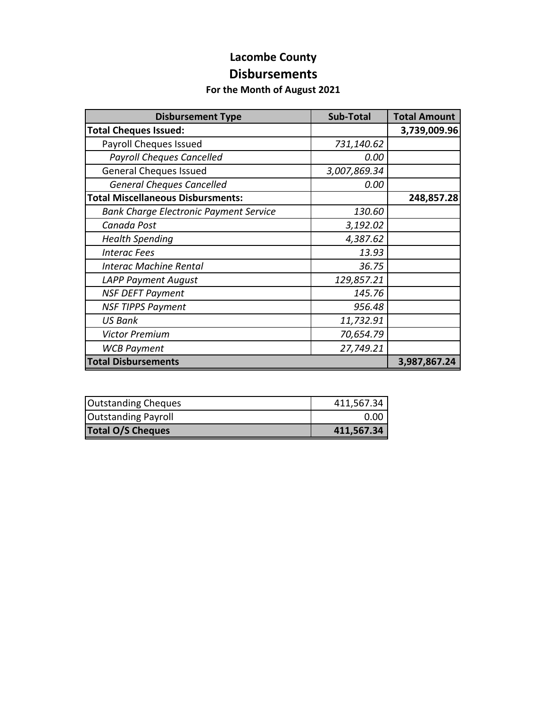### **Lacombe County Disbursements**

#### **For the Month of August 2021**

| <b>Disbursement Type</b>                      | <b>Sub-Total</b> | <b>Total Amount</b> |
|-----------------------------------------------|------------------|---------------------|
| <b>Total Cheques Issued:</b>                  |                  | 3,739,009.96        |
| Payroll Cheques Issued                        | 731,140.62       |                     |
| <b>Payroll Cheques Cancelled</b>              | 0.00             |                     |
| <b>General Cheques Issued</b>                 | 3,007,869.34     |                     |
| <b>General Cheques Cancelled</b>              | 0.00             |                     |
| <b>Total Miscellaneous Disbursments:</b>      |                  | 248,857.28          |
| <b>Bank Charge Electronic Payment Service</b> | 130.60           |                     |
| Canada Post                                   | 3,192.02         |                     |
| <b>Health Spending</b>                        | 4,387.62         |                     |
| <b>Interac Fees</b>                           | 13.93            |                     |
| <b>Interac Machine Rental</b>                 | 36.75            |                     |
| <b>LAPP Payment August</b>                    | 129,857.21       |                     |
| <b>NSF DEFT Payment</b>                       | 145.76           |                     |
| <b>NSF TIPPS Payment</b>                      | 956.48           |                     |
| <b>US Bank</b>                                | 11,732.91        |                     |
| <b>Victor Premium</b>                         | 70,654.79        |                     |
| <b>WCB Payment</b>                            | 27,749.21        |                     |
| <b>Total Disbursements</b>                    |                  | 3,987,867.24        |

| <b>Outstanding Cheques</b> | 411,567.34 |
|----------------------------|------------|
| <b>Outstanding Payroll</b> | 0.00       |
| <b>Total O/S Cheques</b>   | 411,567.34 |